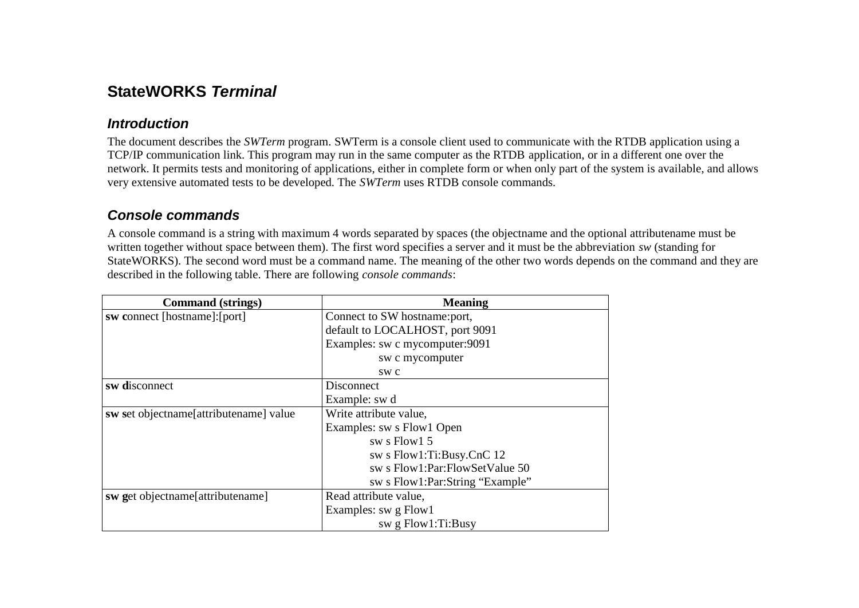# **StateWORKS** *Terminal*

#### *Introduction*

The document describes the *SWTerm* program. SWTerm is a console client used to communicate with the RTDB application using a TCP/IP communication link. This program may run in the same computer as the RTDB application, or in a different one over the network. It permits tests and monitoring of applications, either in complete form or when only part of the system is available, and allows very extensive automated tests to be developed. The *SWTerm* uses RTDB console commands.

### *Console commands*

A console command is a string with maximum 4 words separated by spaces (the objectname and the optional attributename must be written together without space between them). The first word specifies a server and it must be the abbreviation *sw* (standing for StateWORKS). The second word must be a command name. The meaning of the other two words depends on the command and they are described in the following table. There are following *console commands*:

| <b>Command</b> (strings)               | <b>Meaning</b>                  |
|----------------------------------------|---------------------------------|
| sw connect [hostname]: [port]          | Connect to SW hostname:port,    |
|                                        | default to LOCALHOST, port 9091 |
|                                        | Examples: sw c mycomputer: 9091 |
|                                        | sw c mycomputer                 |
|                                        | SW C                            |
| sw disconnect                          | Disconnect                      |
|                                        | Example: sw d                   |
| sw set objectname[attributename] value | Write attribute value,          |
|                                        | Examples: sw s Flow1 Open       |
|                                        | sw s Flow1 5                    |
|                                        | sw s Flow1:Ti:Busy.CnC 12       |
|                                        | sw s Flow1:Par:FlowSetValue 50  |
|                                        | sw s Flow1:Par:String "Example" |
| sw get objectname[attributename]       | Read attribute value,           |
|                                        | Examples: sw g Flow1            |
|                                        | sw $g$ Flow1:Ti:Busy            |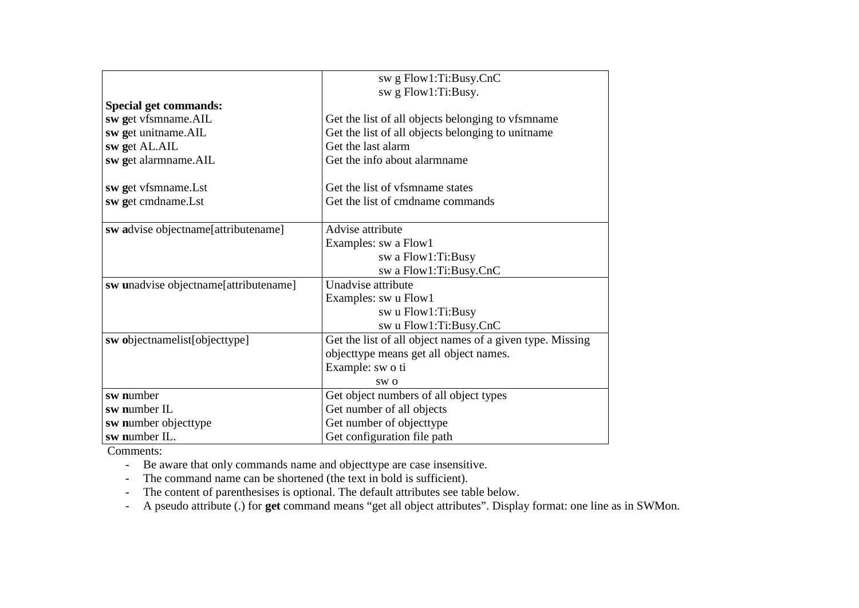| sw g Flow1:Ti:Busy.CnC                                    |
|-----------------------------------------------------------|
| sw g Flow1:Ti:Busy.                                       |
|                                                           |
| Get the list of all objects belonging to vfsmname         |
| Get the list of all objects belonging to unit ame         |
| Get the last alarm                                        |
| Get the info about alarmname                              |
| Get the list of vfsmname states                           |
| Get the list of cmdname commands                          |
| Advise attribute                                          |
| Examples: sw a Flow1                                      |
| sw a Flow1:Ti:Busy                                        |
| sw a Flow1:Ti:Busy.CnC                                    |
| Unadvise attribute                                        |
| Examples: sw u Flow1                                      |
| sw u Flow1:Ti:Busy                                        |
| sw u Flow1:Ti:Busy.CnC                                    |
| Get the list of all object names of a given type. Missing |
| objecttype means get all object names.                    |
| Example: sw o ti                                          |
| SW <sub>0</sub>                                           |
| Get object numbers of all object types                    |
| Get number of all objects                                 |
| Get number of objecttype                                  |
| Get configuration file path                               |
|                                                           |

Comments:

- Be aware that only commands name and objecttype are case insensitive.

- The command name can be shortened (the text in bold is sufficient).

- The content of parenthesises is optional. The default attributes see table below.

- A pseudo attribute (.) for **get** command means "get all object attributes". Display format: one line as in SWMon.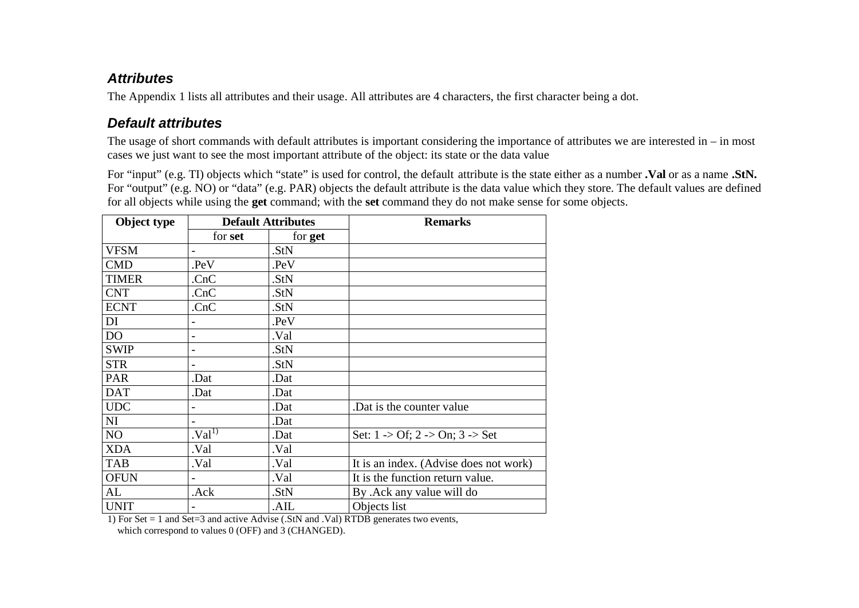#### *Attributes*

The Appendix 1 lists all attributes and their usage. All attributes are 4 characters, the first character being a dot.

### *Default attributes*

The usage of short commands with default attributes is important considering the importance of attributes we are interested in – in most cases we just want to see the most important attribute of the object: its state or the data value

For "input" (e.g. TI) objects which "state" is used for control, the default attribute is the state either as a number **.Val** or as a name **.StN.** For "output" (e.g. NO) or "data" (e.g. PAR) objects the default attribute is the data value which they store. The default values are defined for all objects while using the **get** command; with the **set** command they do not make sense for some objects.

| Object type    |                              | <b>Default Attributes</b> | <b>Remarks</b>                                            |
|----------------|------------------------------|---------------------------|-----------------------------------------------------------|
|                | for set                      | for get                   |                                                           |
| <b>VFSM</b>    | $\overline{\phantom{0}}$     | .StN                      |                                                           |
| <b>CMD</b>     | PeV                          | .PeV                      |                                                           |
| <b>TIMER</b>   | CnC                          | .StN                      |                                                           |
| <b>CNT</b>     | CnC                          | .StN                      |                                                           |
| <b>ECNT</b>    | .CnC                         | .StN                      |                                                           |
| DI             |                              | .PeV                      |                                                           |
| D <sub>O</sub> | $\overline{\phantom{0}}$     | Val.                      |                                                           |
| <b>SWIP</b>    | $\overline{\phantom{0}}$     | .StN                      |                                                           |
| <b>STR</b>     | $\overline{\phantom{0}}$     | .StN                      |                                                           |
| PAR            | .Dat                         | .Dat                      |                                                           |
| <b>DAT</b>     | .Dat                         | .Dat                      |                                                           |
| <b>UDC</b>     |                              | .Dat                      | Dat is the counter value.                                 |
| NI             | $\blacksquare$               | .Dat                      |                                                           |
| NO             | $\mathbf{Val}^{\mathcal{D}}$ | .Dat                      | Set: $1 > \text{Of}$ ; $2 > \text{On}$ ; $3 > \text{Set}$ |
| <b>XDA</b>     | Val.                         | Val.                      |                                                           |
| <b>TAB</b>     | .Val                         | Val.                      | It is an index. (Advise does not work)                    |
| <b>OFUN</b>    |                              | .Val                      | It is the function return value.                          |
| AL             | .Ack                         | .StN                      | By .Ack any value will do                                 |
| <b>UNIT</b>    |                              | .AIL                      | Objects list                                              |

1) For Set = 1 and Set=3 and active Advise (.StN and .Val) RTDB generates two events,

which correspond to values 0 (OFF) and 3 (CHANGED).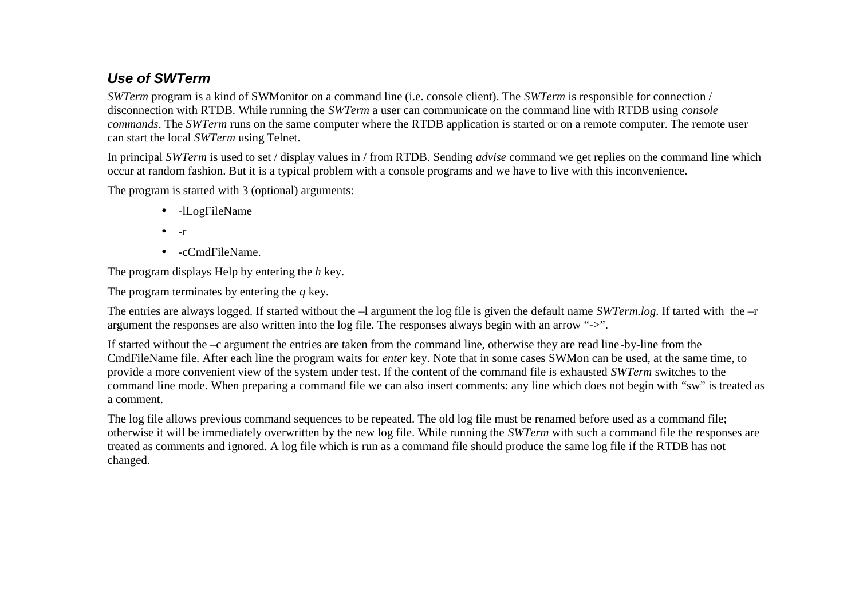## *Use of SWTerm*

*SWTerm* program is a kind of SWMonitor on a command line (i.e. console client). The *SWTerm* is responsible for connection / disconnection with RTDB. While running the *SWTerm* a user can communicate on the command line with RTDB using *console commands*. The *SWTerm* runs on the same computer where the RTDB application is started or on a remote computer. The remote user can start the local *SWTerm* using Telnet.

In principal *SWTerm* is used to set / display values in / from RTDB. Sending *advise* command we get replies on the command line which occur at random fashion. But it is a typical problem with a console programs and we have to live with this inconvenience.

The program is started with 3 (optional) arguments:

- -lLogFileName
- $\bullet$  -r
- -cCmdFileName.

The program displays Help by entering the *h* key.

The program terminates by entering the *q* key.

The entries are always logged. If started without the –l argument the log file is given the default name *SWTerm.log*. If tarted with the –r argument the responses are also written into the log file. The responses always begin with an arrow "->".

If started without the –c argument the entries are taken from the command line, otherwise they are read line-by-line from the CmdFileName file. After each line the program waits for *enter* key. Note that in some cases SWMon can be used, at the same time, to provide a more convenient view of the system under test. If the content of the command file is exhausted *SWTerm* switches to the command line mode. When preparing a command file we can also insert comments: any line which does not begin with "sw" is treated as a comment.

The log file allows previous command sequences to be repeated. The old log file must be renamed before used as a command file; otherwise it will be immediately overwritten by the new log file. While running the *SWTerm* with such a command file the responses are treated as comments and ignored. A log file which is run as a command file should produce the same log file if the RTDB has not changed.